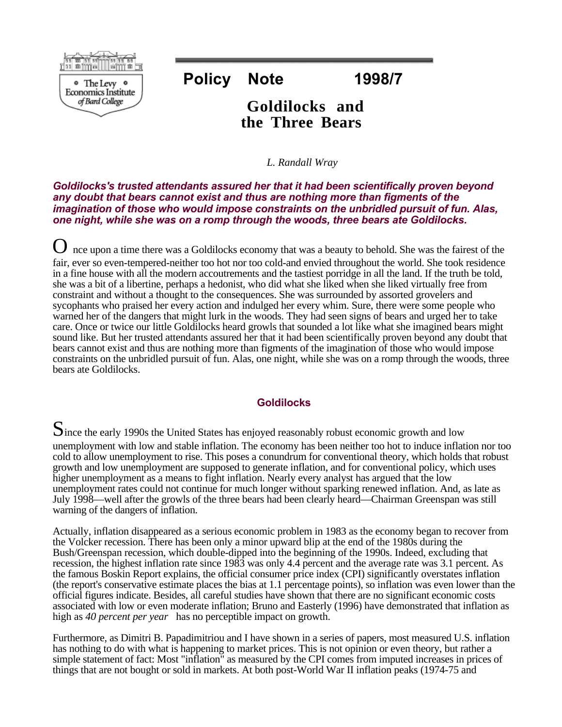

# **Policy Note 1998/7**

## **Goldilocks and the Three Bears**

*L. Randall Wray*

*Goldilocks's trusted attendants assured her that it had been scientifically proven beyond any doubt that bears cannot exist and thus are nothing more than figments of the imagination of those who would impose constraints on the unbridled pursuit of fun. Alas, one night, while she was on a romp through the woods, three bears ate Goldilocks.* 

O nce upon a time there was a Goldilocks economy that was a beauty to behold. She was the fairest of the fair, ever so even-tempered-neither too hot nor too cold-and envied throughout the world. She took residence in a fine house with all the modern accoutrements and the tastiest porridge in all the land. If the truth be told, she was a bit of a libertine, perhaps a hedonist, who did what she liked when she liked virtually free from constraint and without a thought to the consequences. She was surrounded by assorted grovelers and sycophants who praised her every action and indulged her every whim. Sure, there were some people who warned her of the dangers that might lurk in the woods. They had seen signs of bears and urged her to take care. Once or twice our little Goldilocks heard growls that sounded a lot like what she imagined bears might sound like. But her trusted attendants assured her that it had been scientifically proven beyond any doubt that bears cannot exist and thus are nothing more than figments of the imagination of those who would impose constraints on the unbridled pursuit of fun. Alas, one night, while she was on a romp through the woods, three bears ate Goldilocks.

### **Goldilocks**

Since the early 1990s the United States has enjoyed reasonably robust economic growth and low

unemployment with low and stable inflation. The economy has been neither too hot to induce inflation nor too cold to allow unemployment to rise. This poses a conundrum for conventional theory, which holds that robust growth and low unemployment are supposed to generate inflation, and for conventional policy, which uses higher unemployment as a means to fight inflation. Nearly every analyst has argued that the low unemployment rates could not continue for much longer without sparking renewed inflation. And, as late as July 1998—well after the growls of the three bears had been clearly heard—Chairman Greenspan was still warning of the dangers of inflation.

Actually, inflation disappeared as a serious economic problem in 1983 as the economy began to recover from the Volcker recession. There has been only a minor upward blip at the end of the 1980s during the Bush/Greenspan recession, which double-dipped into the beginning of the 1990s. Indeed, excluding that recession, the highest inflation rate since 1983 was only 4.4 percent and the average rate was 3.1 percent. As the famous Boskin Report explains, the official consumer price index (CPI) significantly overstates inflation (the report's conservative estimate places the bias at 1.1 percentage points), so inflation was even lower than the official figures indicate. Besides, all careful studies have shown that there are no significant economic costs associated with low or even moderate inflation; Bruno and Easterly (1996) have demonstrated that inflation as high as *40 percent per year* has no perceptible impact on growth.

Furthermore, as Dimitri B. Papadimitriou and I have shown in a series of papers, most measured U.S. inflation has nothing to do with what is happening to market prices. This is not opinion or even theory, but rather a simple statement of fact: Most "inflation" as measured by the CPI comes from imputed increases in prices of things that are not bought or sold in markets. At both post-World War II inflation peaks (1974-75 and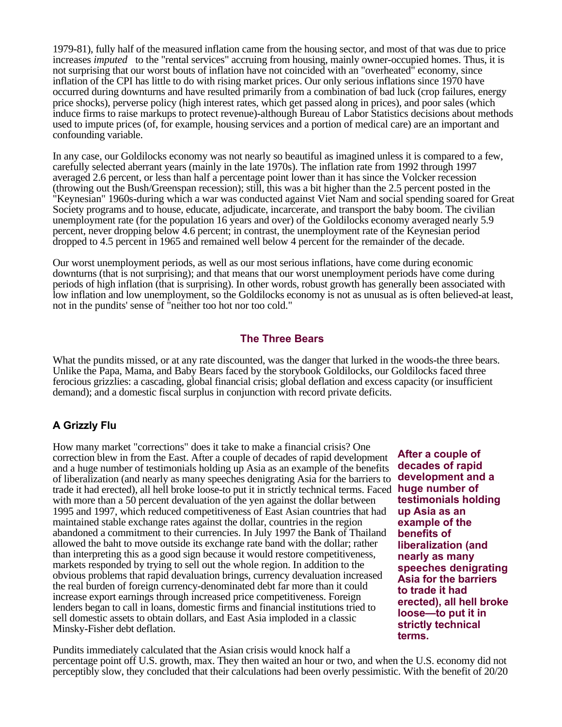1979-81), fully half of the measured inflation came from the housing sector, and most of that was due to price increases *imputed* to the "rental services" accruing from housing, mainly owner-occupied homes. Thus, it is not surprising that our worst bouts of inflation have not coincided with an "overheated" economy, since inflation of the CPI has little to do with rising market prices. Our only serious inflations since 1970 have occurred during downturns and have resulted primarily from a combination of bad luck (crop failures, energy price shocks), perverse policy (high interest rates, which get passed along in prices), and poor sales (which induce firms to raise markups to protect revenue)-although Bureau of Labor Statistics decisions about methods used to impute prices (of, for example, housing services and a portion of medical care) are an important and confounding variable.

In any case, our Goldilocks economy was not nearly so beautiful as imagined unless it is compared to a few, carefully selected aberrant years (mainly in the late 1970s). The inflation rate from 1992 through 1997 averaged 2.6 percent, or less than half a percentage point lower than it has since the Volcker recession (throwing out the Bush/Greenspan recession); still, this was a bit higher than the 2.5 percent posted in the "Keynesian" 1960s-during which a war was conducted against Viet Nam and social spending soared for Great Society programs and to house, educate, adjudicate, incarcerate, and transport the baby boom. The civilian unemployment rate (for the population 16 years and over) of the Goldilocks economy averaged nearly 5.9 percent, never dropping below 4.6 percent; in contrast, the unemployment rate of the Keynesian period dropped to 4.5 percent in 1965 and remained well below 4 percent for the remainder of the decade.

Our worst unemployment periods, as well as our most serious inflations, have come during economic downturns (that is not surprising); and that means that our worst unemployment periods have come during periods of high inflation (that is surprising). In other words, robust growth has generally been associated with low inflation and low unemployment, so the Goldilocks economy is not as unusual as is often believed-at least, not in the pundits' sense of "neither too hot nor too cold."

#### **The Three Bears**

What the pundits missed, or at any rate discounted, was the danger that lurked in the woods-the three bears. Unlike the Papa, Mama, and Baby Bears faced by the storybook Goldilocks, our Goldilocks faced three ferocious grizzlies: a cascading, global financial crisis; global deflation and excess capacity (or insufficient demand); and a domestic fiscal surplus in conjunction with record private deficits.

### **A Grizzly Flu**

How many market "corrections" does it take to make a financial crisis? One correction blew in from the East. After a couple of decades of rapid development and a huge number of testimonials holding up Asia as an example of the benefits of liberalization (and nearly as many speeches denigrating Asia for the barriers to trade it had erected), all hell broke loose-to put it in strictly technical terms. Faced with more than a 50 percent devaluation of the yen against the dollar between 1995 and 1997, which reduced competitiveness of East Asian countries that had maintained stable exchange rates against the dollar, countries in the region abandoned a commitment to their currencies. In July 1997 the Bank of Thailand allowed the baht to move outside its exchange rate band with the dollar; rather than interpreting this as a good sign because it would restore competitiveness, markets responded by trying to sell out the whole region. In addition to the obvious problems that rapid devaluation brings, currency devaluation increased the real burden of foreign currency-denominated debt far more than it could increase export earnings through increased price competitiveness. Foreign lenders began to call in loans, domestic firms and financial institutions tried to sell domestic assets to obtain dollars, and East Asia imploded in a classic Minsky-Fisher debt deflation.

**After a couple of decades of rapid development and a huge number of testimonials holding up Asia as an example of the benefits of liberalization (and nearly as many speeches denigrating Asia for the barriers to trade it had erected), all hell broke loose—to put it in strictly technical terms.** 

Pundits immediately calculated that the Asian crisis would knock half a percentage point off U.S. growth, max. They then waited an hour or two, and when the U.S. economy did not perceptibly slow, they concluded that their calculations had been overly pessimistic. With the benefit of 20/20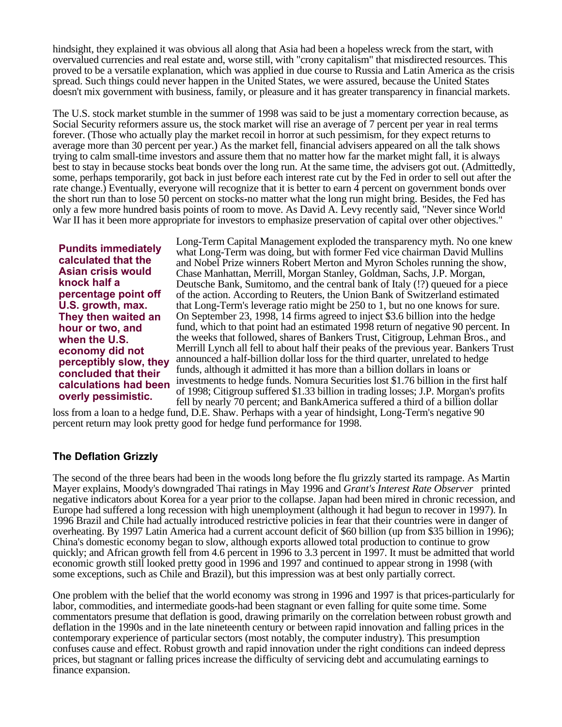hindsight, they explained it was obvious all along that Asia had been a hopeless wreck from the start, with overvalued currencies and real estate and, worse still, with "crony capitalism" that misdirected resources. This proved to be a versatile explanation, which was applied in due course to Russia and Latin America as the crisis spread. Such things could never happen in the United States, we were assured, because the United States doesn't mix government with business, family, or pleasure and it has greater transparency in financial markets.

The U.S. stock market stumble in the summer of 1998 was said to be just a momentary correction because, as Social Security reformers assure us, the stock market will rise an average of 7 percent per year in real terms forever. (Those who actually play the market recoil in horror at such pessimism, for they expect returns to average more than 30 percent per year.) As the market fell, financial advisers appeared on all the talk shows trying to calm small-time investors and assure them that no matter how far the market might fall, it is always best to stay in because stocks beat bonds over the long run. At the same time, the advisers got out. (Admittedly, some, perhaps temporarily, got back in just before each interest rate cut by the Fed in order to sell out after the rate change.) Eventually, everyone will recognize that it is better to earn 4 percent on government bonds over the short run than to lose 50 percent on stocks-no matter what the long run might bring. Besides, the Fed has only a few more hundred basis points of room to move. As David A. Levy recently said, "Never since World War II has it been more appropriate for investors to emphasize preservation of capital over other objectives."

**Pundits immediately calculated that the Asian crisis would knock half a percentage point off U.S. growth, max. They then waited an hour or two, and when the U.S. economy did not perceptibly slow, they concluded that their calculations had been overly pessimistic.** 

Long-Term Capital Management exploded the transparency myth. No one knew what Long-Term was doing, but with former Fed vice chairman David Mullins and Nobel Prize winners Robert Merton and Myron Scholes running the show, Chase Manhattan, Merrill, Morgan Stanley, Goldman, Sachs, J.P. Morgan, Deutsche Bank, Sumitomo, and the central bank of Italy (!?) queued for a piece of the action. According to Reuters, the Union Bank of Switzerland estimated that Long-Term's leverage ratio might be 250 to 1, but no one knows for sure. On September 23, 1998, 14 firms agreed to inject \$3.6 billion into the hedge fund, which to that point had an estimated 1998 return of negative 90 percent. In the weeks that followed, shares of Bankers Trust, Citigroup, Lehman Bros., and Merrill Lynch all fell to about half their peaks of the previous year. Bankers Trust announced a half-billion dollar loss for the third quarter, unrelated to hedge funds, although it admitted it has more than a billion dollars in loans or investments to hedge funds. Nomura Securities lost \$1.76 billion in the first half of 1998; Citigroup suffered \$1.33 billion in trading losses; J.P. Morgan's profits fell by nearly 70 percent; and BankAmerica suffered a third of a billion dollar

loss from a loan to a hedge fund, D.E. Shaw. Perhaps with a year of hindsight, Long-Term's negative 90 percent return may look pretty good for hedge fund performance for 1998.

### **The Deflation Grizzly**

The second of the three bears had been in the woods long before the flu grizzly started its rampage. As Martin Mayer explains, Moody's downgraded Thai ratings in May 1996 and *Grant's Interest Rate Observer* printed negative indicators about Korea for a year prior to the collapse. Japan had been mired in chronic recession, and Europe had suffered a long recession with high unemployment (although it had begun to recover in 1997). In 1996 Brazil and Chile had actually introduced restrictive policies in fear that their countries were in danger of overheating. By 1997 Latin America had a current account deficit of \$60 billion (up from \$35 billion in 1996); China's domestic economy began to slow, although exports allowed total production to continue to grow quickly; and African growth fell from 4.6 percent in 1996 to 3.3 percent in 1997. It must be admitted that world economic growth still looked pretty good in 1996 and 1997 and continued to appear strong in 1998 (with some exceptions, such as Chile and Brazil), but this impression was at best only partially correct.

One problem with the belief that the world economy was strong in 1996 and 1997 is that prices-particularly for labor, commodities, and intermediate goods-had been stagnant or even falling for quite some time. Some commentators presume that deflation is good, drawing primarily on the correlation between robust growth and deflation in the 1990s and in the late nineteenth century or between rapid innovation and falling prices in the contemporary experience of particular sectors (most notably, the computer industry). This presumption confuses cause and effect. Robust growth and rapid innovation under the right conditions can indeed depress prices, but stagnant or falling prices increase the difficulty of servicing debt and accumulating earnings to finance expansion.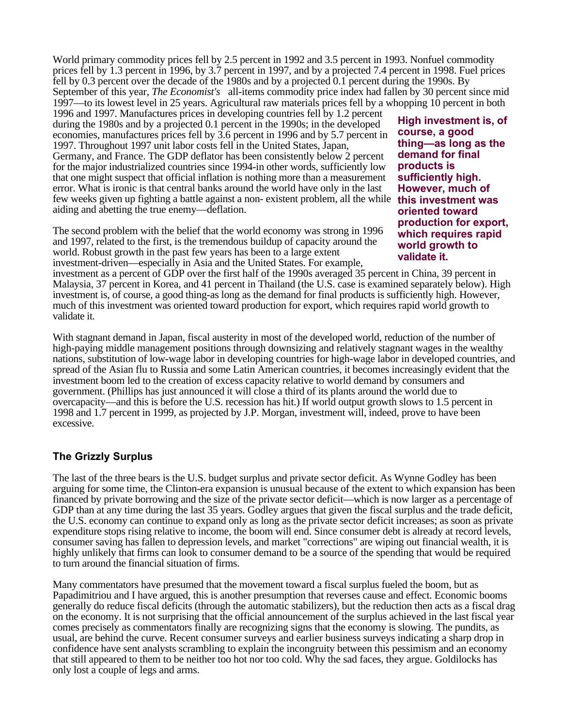World primary commodity prices fell by 2.5 percent in 1992 and 3.5 percent in 1993. Nonfuel commodity prices fell by 1.3 percent in 1996, by 3.7 percent in 1997, and by a projected 7.4 percent in 1998. Fuel prices fell by 0.3 percent over the decade of the 1980s and by a projected 0.1 percent during the 1990s. By September of this year, *The Economist's* all-items commodity price index had fallen by 30 percent since mid 1997—to its lowest level in 25 years. Agricultural raw materials prices fell by a whopping 10 percent in both

1996 and 1997. Manufactures prices in developing countries fell by 1.2 percent during the 1980s and by a projected 0.1 percent in the 1990s; in the developed economies, manufactures prices fell by 3.6 percent in 1996 and by 5.7 percent in 1997. Throughout 1997 unit labor costs fell in the United States, Japan, Germany, and France. The GDP deflator has been consistently below 2 percent for the major industrialized countries since 1994-in other words, sufficiently low that one might suspect that official inflation is nothing more than a measurement error. What is ironic is that central banks around the world have only in the last few weeks given up fighting a battle against a non- existent problem, all the while **this investment was** aiding and abetting the true enemy—deflation.

The second problem with the belief that the world economy was strong in 1996 and 1997, related to the first, is the tremendous buildup of capacity around the world. Robust growth in the past few years has been to a large extent investment-driven—especially in Asia and the United States. For example,

**High investment is, of course, a good thing—as long as the demand for final products is sufficiently high. However, much of oriented toward production for export, which requires rapid world growth to validate it.** 

investment as a percent of GDP over the first half of the 1990s averaged 35 percent in China, 39 percent in Malaysia, 37 percent in Korea, and 41 percent in Thailand (the U.S. case is examined separately below). High investment is, of course, a good thing-as long as the demand for final products is sufficiently high. However, much of this investment was oriented toward production for export, which requires rapid world growth to validate it.

With stagnant demand in Japan, fiscal austerity in most of the developed world, reduction of the number of high-paying middle management positions through downsizing and relatively stagnant wages in the wealthy nations, substitution of low-wage labor in developing countries for high-wage labor in developed countries, and spread of the Asian flu to Russia and some Latin American countries, it becomes increasingly evident that the investment boom led to the creation of excess capacity relative to world demand by consumers and government. (Phillips has just announced it will close a third of its plants around the world due to overcapacity—and this is before the U.S. recession has hit.) If world output growth slows to 1.5 percent in 1998 and 1.7 percent in 1999, as projected by J.P. Morgan, investment will, indeed, prove to have been excessive.

### **The Grizzly Surplus**

The last of the three bears is the U.S. budget surplus and private sector deficit. As Wynne Godley has been arguing for some time, the Clinton-era expansion is unusual because of the extent to which expansion has been financed by private borrowing and the size of the private sector deficit—which is now larger as a percentage of GDP than at any time during the last 35 years. Godley argues that given the fiscal surplus and the trade deficit, the U.S. economy can continue to expand only as long as the private sector deficit increases; as soon as private expenditure stops rising relative to income, the boom will end. Since consumer debt is already at record levels, consumer saving has fallen to depression levels, and market "corrections" are wiping out financial wealth, it is highly unlikely that firms can look to consumer demand to be a source of the spending that would be required to turn around the financial situation of firms.

Many commentators have presumed that the movement toward a fiscal surplus fueled the boom, but as Papadimitriou and I have argued, this is another presumption that reverses cause and effect. Economic booms generally do reduce fiscal deficits (through the automatic stabilizers), but the reduction then acts as a fiscal drag on the economy. It is not surprising that the official announcement of the surplus achieved in the last fiscal year comes precisely as commentators finally are recognizing signs that the economy is slowing. The pundits, as usual, are behind the curve. Recent consumer surveys and earlier business surveys indicating a sharp drop in confidence have sent analysts scrambling to explain the incongruity between this pessimism and an economy that still appeared to them to be neither too hot nor too cold. Why the sad faces, they argue. Goldilocks has only lost a couple of legs and arms.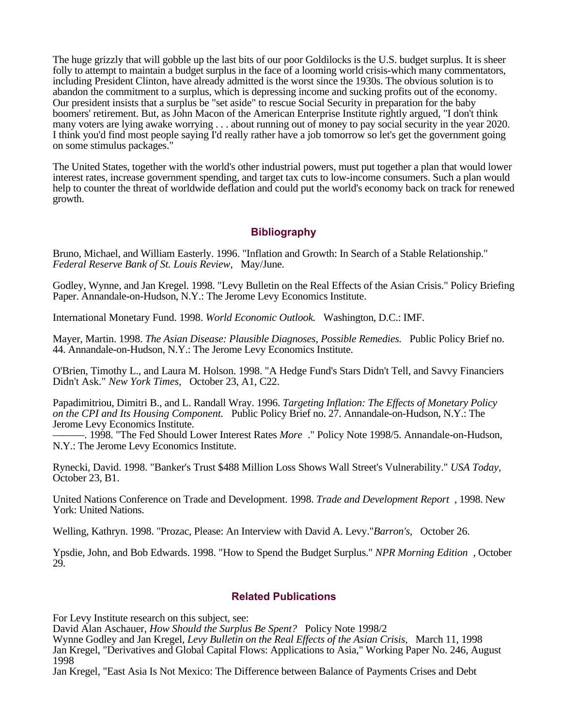The huge grizzly that will gobble up the last bits of our poor Goldilocks is the U.S. budget surplus. It is sheer folly to attempt to maintain a budget surplus in the face of a looming world crisis-which many commentators, including President Clinton, have already admitted is the worst since the 1930s. The obvious solution is to abandon the commitment to a surplus, which is depressing income and sucking profits out of the economy. Our president insists that a surplus be "set aside" to rescue Social Security in preparation for the baby boomers' retirement. But, as John Macon of the American Enterprise Institute rightly argued, "I don't think many voters are lying awake worrying . . . about running out of money to pay social security in the year 2020. I think you'd find most people saying I'd really rather have a job tomorrow so let's get the government going on some stimulus packages."

The United States, together with the world's other industrial powers, must put together a plan that would lower interest rates, increase government spending, and target tax cuts to low-income consumers. Such a plan would help to counter the threat of worldwide deflation and could put the world's economy back on track for renewed growth.

### **Bibliography**

Bruno, Michael, and William Easterly. 1996. "Inflation and Growth: In Search of a Stable Relationship." *Federal Reserve Bank of St. Louis Review,* May/June.

Godley, Wynne, and Jan Kregel. 1998. "Levy Bulletin on the Real Effects of the Asian Crisis." Policy Briefing Paper. Annandale-on-Hudson, N.Y.: The Jerome Levy Economics Institute.

International Monetary Fund. 1998. *World Economic Outlook.* Washington, D.C.: IMF.

Mayer, Martin. 1998. *The Asian Disease: Plausible Diagnoses, Possible Remedies.* Public Policy Brief no. 44. Annandale-on-Hudson, N.Y.: The Jerome Levy Economics Institute.

O'Brien, Timothy L., and Laura M. Holson. 1998. "A Hedge Fund's Stars Didn't Tell, and Savvy Financiers Didn't Ask." *New York Times,* October 23, A1, C22.

Papadimitriou, Dimitri B., and L. Randall Wray. 1996. *Targeting Inflation: The Effects of Monetary Policy on the CPI and Its Housing Component.* Public Policy Brief no. 27. Annandale-on-Hudson, N.Y.: The Jerome Levy Economics Institute.

———. 1998. "The Fed Should Lower Interest Rates *More* ." Policy Note 1998/5. Annandale-on-Hudson, N.Y.: The Jerome Levy Economics Institute.

Rynecki, David. 1998. "Banker's Trust \$488 Million Loss Shows Wall Street's Vulnerability." *USA Today,* October 23, B1.

United Nations Conference on Trade and Development. 1998. *Trade and Development Report* , 1998. New York: United Nations.

Welling, Kathryn. 1998. "Prozac, Please: An Interview with David A. Levy."*Barron's,* October 26.

Ypsdie, John, and Bob Edwards. 1998. "How to Spend the Budget Surplus." *NPR Morning Edition* , October 29.

#### **Related Publications**

For Levy Institute research on this subject, see:

David Alan Aschauer, *How Should the Surplus Be Spent?* Policy Note 1998/2

Wynne Godley and Jan Kregel, *Levy Bulletin on the Real Effects of the Asian Crisis,* March 11, 1998 Jan Kregel, "Derivatives and Global Capital Flows: Applications to Asia," Working Paper No. 246, August 1998

Jan Kregel, "East Asia Is Not Mexico: The Difference between Balance of Payments Crises and Debt